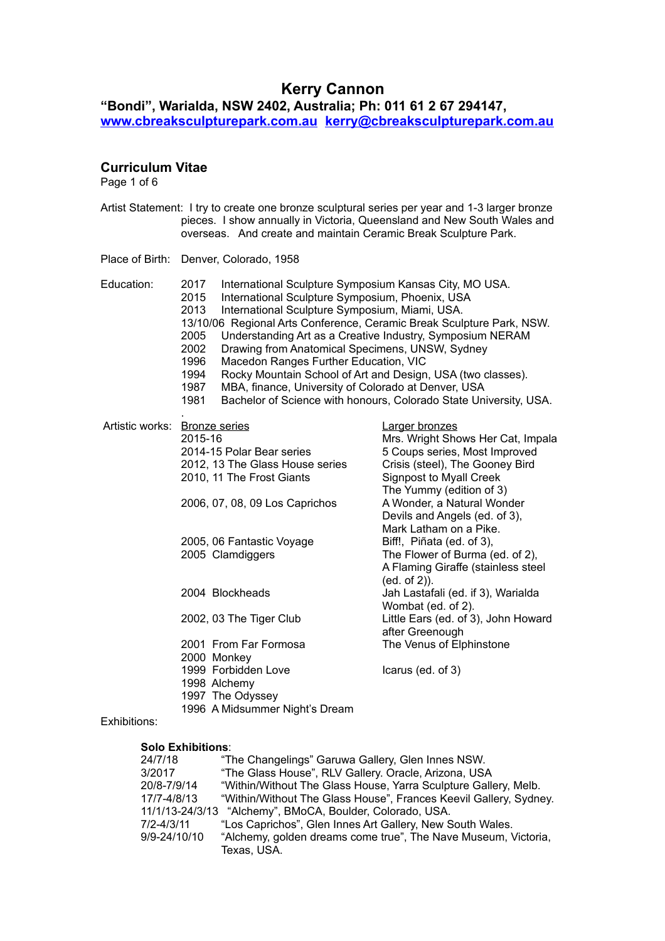# **Kerry Cannon**

**"Bondi", Warialda, NSW 2402, Australia; Ph: 011 61 2 67 294147, www.cbreaksculpturepark.com.au kerry@cbreaksculpturepark.com.au**

## **Curriculum Vitae**

Page 1 of 6

Artist Statement: I try to create one bronze sculptural series per year and 1-3 larger bronze pieces. I show annually in Victoria, Queensland and New South Wales and overseas. And create and maintain Ceramic Break Sculpture Park.

Place of Birth: Denver, Colorado, 1958

- Education: 2017 International Sculpture Symposium Kansas City, MO USA.
	- 2015 International Sculpture Symposium, Phoenix, USA
	- 2013 International Sculpture Symposium, Miami, USA.
		- 13/10/06 Regional Arts Conference, Ceramic Break Sculpture Park, NSW.
	- 2005 Understanding Art as a Creative Industry, Symposium NERAM
		- 2002 Drawing from Anatomical Specimens, UNSW, Sydney
	- 1996 Macedon Ranges Further Education, VIC
		- 1994 Rocky Mountain School of Art and Design, USA (two classes).
		- 1987 MBA, finance, University of Colorado at Denver, USA
		- 1981 Bachelor of Science with honours, Colorado State University, USA.

. Artistic works: Bronze series **Larger bronzes** 

2015-16 Mrs. Wright Shows Her Cat, Impala 2014-15 Polar Bear series 5 Coups series, Most Improved 2012, 13 The Glass House series Crisis (steel), The Gooney Bird 2010, 11 The Frost Giants Signpost to Myall Creek The Yummy (edition of 3) 2006, 07, 08, 09 Los Caprichos A Wonder, a Natural Wonder Devils and Angels (ed. of 3), Mark Latham on a Pike.<br>Biff!, Piñata (ed. of 3), 2005, 06 Fantastic Voyage 2005 Clamdiggers The Flower of Burma (ed. of 2), A Flaming Giraffe (stainless steel  $(ed. of 2)$ . 2004 Blockheads Jah Lastafali (ed. if 3), Warialda Wombat (ed. of 2). 2002, 03 The Tiger Club Little Ears (ed. of 3), John Howard after Greenough

2001 From Far Formosa The Venus of Elphinstone 2000 Monkey 1999 Forbidden Love Icarus (ed. of 3) 1998 Alchemy 1997 The Odyssey 1996 A Midsummer Night's Dream

#### Exhibitions:

#### **Solo Exhibitions**:

| 24/7/18      | "The Changelings" Garuwa Gallery, Glen Innes NSW.                 |
|--------------|-------------------------------------------------------------------|
| 3/2017       | "The Glass House", RLV Gallery. Oracle, Arizona, USA              |
| 20/8-7/9/14  | "Within/Without The Glass House, Yarra Sculpture Gallery, Melb.   |
| 17/7-4/8/13  | "Within/Without The Glass House", Frances Keevil Gallery, Sydney. |
|              | 11/1/13-24/3/13 "Alchemy", BMoCA, Boulder, Colorado, USA.         |
| 7/2-4/3/11   | "Los Caprichos", Glen Innes Art Gallery, New South Wales.         |
| 9/9-24/10/10 | "Alchemy, golden dreams come true", The Nave Museum, Victoria,    |
|              | Texas, USA.                                                       |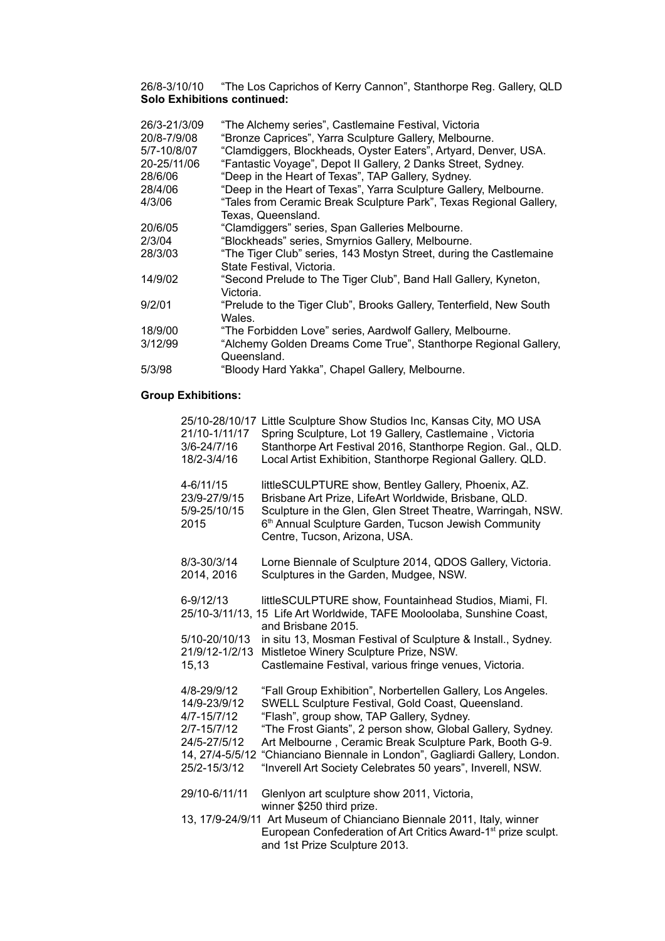26/8-3/10/10 "The Los Caprichos of Kerry Cannon", Stanthorpe Reg. Gallery, QLD **Solo Exhibitions continued:**

| 26/3-21/3/09 | "The Alchemy series", Castlemaine Festival, Victoria                |
|--------------|---------------------------------------------------------------------|
| 20/8-7/9/08  | "Bronze Caprices", Yarra Sculpture Gallery, Melbourne.              |
| 5/7-10/8/07  | "Clamdiggers, Blockheads, Oyster Eaters", Artyard, Denver, USA.     |
| 20-25/11/06  | "Fantastic Voyage", Depot II Gallery, 2 Danks Street, Sydney.       |
| 28/6/06      | "Deep in the Heart of Texas", TAP Gallery, Sydney.                  |
| 28/4/06      | "Deep in the Heart of Texas", Yarra Sculpture Gallery, Melbourne.   |
| 4/3/06       | "Tales from Ceramic Break Sculpture Park", Texas Regional Gallery,  |
|              | Texas, Queensland.                                                  |
| 20/6/05      | "Clamdiggers" series, Span Galleries Melbourne.                     |
| 2/3/04       | "Blockheads" series, Smyrnios Gallery, Melbourne.                   |
| 28/3/03      | "The Tiger Club" series, 143 Mostyn Street, during the Castlemaine  |
|              | State Festival, Victoria.                                           |
| 14/9/02      | "Second Prelude to The Tiger Club", Band Hall Gallery, Kyneton,     |
|              | Victoria.                                                           |
| 9/2/01       | "Prelude to the Tiger Club", Brooks Gallery, Tenterfield, New South |
|              | Wales.                                                              |
| 18/9/00      | "The Forbidden Love" series, Aardwolf Gallery, Melbourne.           |
| 3/12/99      | "Alchemy Golden Dreams Come True", Stanthorpe Regional Gallery,     |
|              | Queensland.                                                         |
| 5/3/98       | "Bloody Hard Yakka", Chapel Gallery, Melbourne.                     |

## **Group Exhibitions:**

| 21/10-1/11/17<br>3/6-24/7/16<br>18/2-3/4/16                                               | 25/10-28/10/17 Little Sculpture Show Studios Inc, Kansas City, MO USA<br>Spring Sculpture, Lot 19 Gallery, Castlemaine, Victoria<br>Stanthorpe Art Festival 2016, Stanthorpe Region. Gal., QLD.<br>Local Artist Exhibition, Stanthorpe Regional Gallery. QLD.                                                                                                                                                                       |
|-------------------------------------------------------------------------------------------|-------------------------------------------------------------------------------------------------------------------------------------------------------------------------------------------------------------------------------------------------------------------------------------------------------------------------------------------------------------------------------------------------------------------------------------|
| 4-6/11/15<br>23/9-27/9/15<br>5/9-25/10/15<br>2015                                         | littleSCULPTURE show, Bentley Gallery, Phoenix, AZ.<br>Brisbane Art Prize, LifeArt Worldwide, Brisbane, QLD.<br>Sculpture in the Glen, Glen Street Theatre, Warringah, NSW.<br>6th Annual Sculpture Garden, Tucson Jewish Community<br>Centre, Tucson, Arizona, USA.                                                                                                                                                                |
| 8/3-30/3/14<br>2014, 2016                                                                 | Lorne Biennale of Sculpture 2014, QDOS Gallery, Victoria.<br>Sculptures in the Garden, Mudgee, NSW.                                                                                                                                                                                                                                                                                                                                 |
| 6-9/12/13                                                                                 | littleSCULPTURE show, Fountainhead Studios, Miami, Fl.<br>25/10-3/11/13, 15 Life Art Worldwide, TAFE Mooloolaba, Sunshine Coast,<br>and Brisbane 2015.                                                                                                                                                                                                                                                                              |
| 5/10-20/10/13<br>21/9/12-1/2/13                                                           | in situ 13, Mosman Festival of Sculpture & Install., Sydney.<br>Mistletoe Winery Sculpture Prize, NSW.                                                                                                                                                                                                                                                                                                                              |
| 15, 13                                                                                    | Castlemaine Festival, various fringe venues, Victoria.                                                                                                                                                                                                                                                                                                                                                                              |
| 4/8-29/9/12<br>14/9-23/9/12<br>4/7-15/7/12<br>2/7-15/7/12<br>24/5-27/5/12<br>25/2-15/3/12 | "Fall Group Exhibition", Norbertellen Gallery, Los Angeles.<br>SWELL Sculpture Festival, Gold Coast, Queensland.<br>"Flash", group show, TAP Gallery, Sydney.<br>"The Frost Giants", 2 person show, Global Gallery, Sydney.<br>Art Melbourne, Ceramic Break Sculpture Park, Booth G-9.<br>14, 27/4-5/5/12 "Chianciano Biennale in London", Gagliardi Gallery, London.<br>"Inverell Art Society Celebrates 50 years", Inverell, NSW. |
| 29/10-6/11/11                                                                             | Glenlyon art sculpture show 2011, Victoria,<br>winner \$250 third prize.                                                                                                                                                                                                                                                                                                                                                            |
|                                                                                           | 13, 17/9-24/9/11 Art Museum of Chianciano Biennale 2011, Italy, winner<br>European Confederation of Art Critics Award 1st prize sculpt                                                                                                                                                                                                                                                                                              |

European Confederation of Art Critics Award-1<sup>st</sup> prize sculpt. and 1st Prize Sculpture 2013.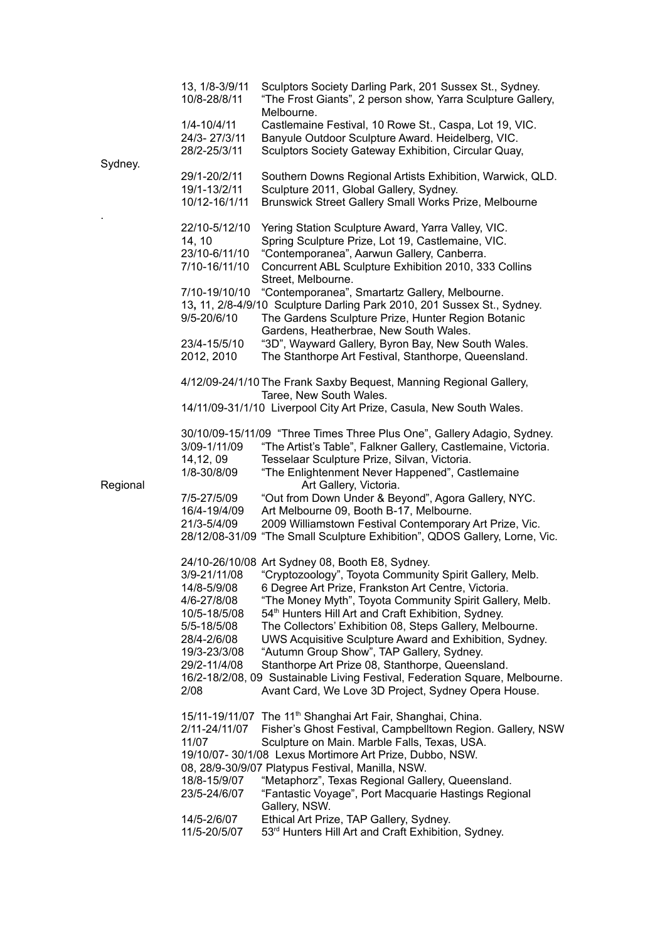| 1/4-10/4/11<br>Castlemaine Festival, 10 Rowe St., Caspa, Lot 19, VIC.<br>24/3-27/3/11<br>Banyule Outdoor Sculpture Award. Heidelberg, VIC.<br>Sculptors Society Gateway Exhibition, Circular Quay,<br>28/2-25/3/11<br>Sydney.<br>29/1-20/2/11<br>Southern Downs Regional Artists Exhibition, Warwick, QLD.<br>Sculpture 2011, Global Gallery, Sydney.<br>19/1-13/2/11<br>Brunswick Street Gallery Small Works Prize, Melbourne<br>10/12-16/1/11<br>22/10-5/12/10<br>Yering Station Sculpture Award, Yarra Valley, VIC.<br>14, 10<br>Spring Sculpture Prize, Lot 19, Castlemaine, VIC.<br>23/10-6/11/10<br>"Contemporanea", Aarwun Gallery, Canberra.<br>Concurrent ABL Sculpture Exhibition 2010, 333 Collins<br>7/10-16/11/10<br>Street, Melbourne.<br>7/10-19/10/10<br>"Contemporanea", Smartartz Gallery, Melbourne.<br>13, 11, 2/8-4/9/10 Sculpture Darling Park 2010, 201 Sussex St., Sydney.<br>The Gardens Sculpture Prize, Hunter Region Botanic<br>9/5-20/6/10<br>Gardens, Heatherbrae, New South Wales.<br>"3D", Wayward Gallery, Byron Bay, New South Wales.<br>23/4-15/5/10<br>The Stanthorpe Art Festival, Stanthorpe, Queensland.<br>2012, 2010<br>4/12/09-24/1/10 The Frank Saxby Bequest, Manning Regional Gallery,<br>Taree, New South Wales.<br>14/11/09-31/1/10 Liverpool City Art Prize, Casula, New South Wales.<br>30/10/09-15/11/09 "Three Times Three Plus One", Gallery Adagio, Sydney.<br>3/09-1/11/09<br>"The Artist's Table", Falkner Gallery, Castlemaine, Victoria.<br>Tesselaar Sculpture Prize, Silvan, Victoria.<br>14, 12, 09<br>"The Enlightenment Never Happened", Castlemaine<br>1/8-30/8/09<br>Regional<br>Art Gallery, Victoria.<br>"Out from Down Under & Beyond", Agora Gallery, NYC.<br>7/5-27/5/09<br>Art Melbourne 09, Booth B-17, Melbourne.<br>16/4-19/4/09<br>2009 Williamstown Festival Contemporary Art Prize, Vic.<br>21/3-5/4/09<br>28/12/08-31/09 "The Small Sculpture Exhibition", QDOS Gallery, Lorne, Vic.<br>24/10-26/10/08 Art Sydney 08, Booth E8, Sydney.<br>"Cryptozoology", Toyota Community Spirit Gallery, Melb.<br>3/9-21/11/08<br>6 Degree Art Prize, Frankston Art Centre, Victoria.<br>14/8-5/9/08<br>4/6-27/8/08<br>54 <sup>th</sup> Hunters Hill Art and Craft Exhibition, Sydney.<br>10/5-18/5/08<br>The Collectors' Exhibition 08, Steps Gallery, Melbourne.<br>5/5-18/5/08<br>UWS Acquisitive Sculpture Award and Exhibition, Sydney.<br>28/4-2/6/08<br>"Autumn Group Show", TAP Gallery, Sydney.<br>19/3-23/3/08<br>Stanthorpe Art Prize 08, Stanthorpe, Queensland.<br>29/2-11/4/08 | 13, 1/8-3/9/11<br>10/8-28/8/11 | Sculptors Society Darling Park, 201 Sussex St., Sydney.<br>"The Frost Giants", 2 person show, Yarra Sculpture Gallery,<br>Melbourne. |
|---------------------------------------------------------------------------------------------------------------------------------------------------------------------------------------------------------------------------------------------------------------------------------------------------------------------------------------------------------------------------------------------------------------------------------------------------------------------------------------------------------------------------------------------------------------------------------------------------------------------------------------------------------------------------------------------------------------------------------------------------------------------------------------------------------------------------------------------------------------------------------------------------------------------------------------------------------------------------------------------------------------------------------------------------------------------------------------------------------------------------------------------------------------------------------------------------------------------------------------------------------------------------------------------------------------------------------------------------------------------------------------------------------------------------------------------------------------------------------------------------------------------------------------------------------------------------------------------------------------------------------------------------------------------------------------------------------------------------------------------------------------------------------------------------------------------------------------------------------------------------------------------------------------------------------------------------------------------------------------------------------------------------------------------------------------------------------------------------------------------------------------------------------------------------------------------------------------------------------------------------------------------------------------------------------------------------------------------------------------------------------------------------------------------------------------------------------------------------------------------------------------------------------------------------------------|--------------------------------|--------------------------------------------------------------------------------------------------------------------------------------|
|                                                                                                                                                                                                                                                                                                                                                                                                                                                                                                                                                                                                                                                                                                                                                                                                                                                                                                                                                                                                                                                                                                                                                                                                                                                                                                                                                                                                                                                                                                                                                                                                                                                                                                                                                                                                                                                                                                                                                                                                                                                                                                                                                                                                                                                                                                                                                                                                                                                                                                                                                               |                                |                                                                                                                                      |
|                                                                                                                                                                                                                                                                                                                                                                                                                                                                                                                                                                                                                                                                                                                                                                                                                                                                                                                                                                                                                                                                                                                                                                                                                                                                                                                                                                                                                                                                                                                                                                                                                                                                                                                                                                                                                                                                                                                                                                                                                                                                                                                                                                                                                                                                                                                                                                                                                                                                                                                                                               |                                |                                                                                                                                      |
|                                                                                                                                                                                                                                                                                                                                                                                                                                                                                                                                                                                                                                                                                                                                                                                                                                                                                                                                                                                                                                                                                                                                                                                                                                                                                                                                                                                                                                                                                                                                                                                                                                                                                                                                                                                                                                                                                                                                                                                                                                                                                                                                                                                                                                                                                                                                                                                                                                                                                                                                                               |                                |                                                                                                                                      |
|                                                                                                                                                                                                                                                                                                                                                                                                                                                                                                                                                                                                                                                                                                                                                                                                                                                                                                                                                                                                                                                                                                                                                                                                                                                                                                                                                                                                                                                                                                                                                                                                                                                                                                                                                                                                                                                                                                                                                                                                                                                                                                                                                                                                                                                                                                                                                                                                                                                                                                                                                               |                                |                                                                                                                                      |
|                                                                                                                                                                                                                                                                                                                                                                                                                                                                                                                                                                                                                                                                                                                                                                                                                                                                                                                                                                                                                                                                                                                                                                                                                                                                                                                                                                                                                                                                                                                                                                                                                                                                                                                                                                                                                                                                                                                                                                                                                                                                                                                                                                                                                                                                                                                                                                                                                                                                                                                                                               |                                |                                                                                                                                      |
|                                                                                                                                                                                                                                                                                                                                                                                                                                                                                                                                                                                                                                                                                                                                                                                                                                                                                                                                                                                                                                                                                                                                                                                                                                                                                                                                                                                                                                                                                                                                                                                                                                                                                                                                                                                                                                                                                                                                                                                                                                                                                                                                                                                                                                                                                                                                                                                                                                                                                                                                                               |                                |                                                                                                                                      |
|                                                                                                                                                                                                                                                                                                                                                                                                                                                                                                                                                                                                                                                                                                                                                                                                                                                                                                                                                                                                                                                                                                                                                                                                                                                                                                                                                                                                                                                                                                                                                                                                                                                                                                                                                                                                                                                                                                                                                                                                                                                                                                                                                                                                                                                                                                                                                                                                                                                                                                                                                               |                                |                                                                                                                                      |
|                                                                                                                                                                                                                                                                                                                                                                                                                                                                                                                                                                                                                                                                                                                                                                                                                                                                                                                                                                                                                                                                                                                                                                                                                                                                                                                                                                                                                                                                                                                                                                                                                                                                                                                                                                                                                                                                                                                                                                                                                                                                                                                                                                                                                                                                                                                                                                                                                                                                                                                                                               |                                |                                                                                                                                      |
|                                                                                                                                                                                                                                                                                                                                                                                                                                                                                                                                                                                                                                                                                                                                                                                                                                                                                                                                                                                                                                                                                                                                                                                                                                                                                                                                                                                                                                                                                                                                                                                                                                                                                                                                                                                                                                                                                                                                                                                                                                                                                                                                                                                                                                                                                                                                                                                                                                                                                                                                                               |                                |                                                                                                                                      |
|                                                                                                                                                                                                                                                                                                                                                                                                                                                                                                                                                                                                                                                                                                                                                                                                                                                                                                                                                                                                                                                                                                                                                                                                                                                                                                                                                                                                                                                                                                                                                                                                                                                                                                                                                                                                                                                                                                                                                                                                                                                                                                                                                                                                                                                                                                                                                                                                                                                                                                                                                               |                                |                                                                                                                                      |
|                                                                                                                                                                                                                                                                                                                                                                                                                                                                                                                                                                                                                                                                                                                                                                                                                                                                                                                                                                                                                                                                                                                                                                                                                                                                                                                                                                                                                                                                                                                                                                                                                                                                                                                                                                                                                                                                                                                                                                                                                                                                                                                                                                                                                                                                                                                                                                                                                                                                                                                                                               |                                |                                                                                                                                      |
|                                                                                                                                                                                                                                                                                                                                                                                                                                                                                                                                                                                                                                                                                                                                                                                                                                                                                                                                                                                                                                                                                                                                                                                                                                                                                                                                                                                                                                                                                                                                                                                                                                                                                                                                                                                                                                                                                                                                                                                                                                                                                                                                                                                                                                                                                                                                                                                                                                                                                                                                                               |                                |                                                                                                                                      |
|                                                                                                                                                                                                                                                                                                                                                                                                                                                                                                                                                                                                                                                                                                                                                                                                                                                                                                                                                                                                                                                                                                                                                                                                                                                                                                                                                                                                                                                                                                                                                                                                                                                                                                                                                                                                                                                                                                                                                                                                                                                                                                                                                                                                                                                                                                                                                                                                                                                                                                                                                               |                                |                                                                                                                                      |
|                                                                                                                                                                                                                                                                                                                                                                                                                                                                                                                                                                                                                                                                                                                                                                                                                                                                                                                                                                                                                                                                                                                                                                                                                                                                                                                                                                                                                                                                                                                                                                                                                                                                                                                                                                                                                                                                                                                                                                                                                                                                                                                                                                                                                                                                                                                                                                                                                                                                                                                                                               |                                |                                                                                                                                      |
|                                                                                                                                                                                                                                                                                                                                                                                                                                                                                                                                                                                                                                                                                                                                                                                                                                                                                                                                                                                                                                                                                                                                                                                                                                                                                                                                                                                                                                                                                                                                                                                                                                                                                                                                                                                                                                                                                                                                                                                                                                                                                                                                                                                                                                                                                                                                                                                                                                                                                                                                                               |                                |                                                                                                                                      |
|                                                                                                                                                                                                                                                                                                                                                                                                                                                                                                                                                                                                                                                                                                                                                                                                                                                                                                                                                                                                                                                                                                                                                                                                                                                                                                                                                                                                                                                                                                                                                                                                                                                                                                                                                                                                                                                                                                                                                                                                                                                                                                                                                                                                                                                                                                                                                                                                                                                                                                                                                               |                                |                                                                                                                                      |
|                                                                                                                                                                                                                                                                                                                                                                                                                                                                                                                                                                                                                                                                                                                                                                                                                                                                                                                                                                                                                                                                                                                                                                                                                                                                                                                                                                                                                                                                                                                                                                                                                                                                                                                                                                                                                                                                                                                                                                                                                                                                                                                                                                                                                                                                                                                                                                                                                                                                                                                                                               |                                |                                                                                                                                      |
|                                                                                                                                                                                                                                                                                                                                                                                                                                                                                                                                                                                                                                                                                                                                                                                                                                                                                                                                                                                                                                                                                                                                                                                                                                                                                                                                                                                                                                                                                                                                                                                                                                                                                                                                                                                                                                                                                                                                                                                                                                                                                                                                                                                                                                                                                                                                                                                                                                                                                                                                                               |                                |                                                                                                                                      |
|                                                                                                                                                                                                                                                                                                                                                                                                                                                                                                                                                                                                                                                                                                                                                                                                                                                                                                                                                                                                                                                                                                                                                                                                                                                                                                                                                                                                                                                                                                                                                                                                                                                                                                                                                                                                                                                                                                                                                                                                                                                                                                                                                                                                                                                                                                                                                                                                                                                                                                                                                               |                                |                                                                                                                                      |
|                                                                                                                                                                                                                                                                                                                                                                                                                                                                                                                                                                                                                                                                                                                                                                                                                                                                                                                                                                                                                                                                                                                                                                                                                                                                                                                                                                                                                                                                                                                                                                                                                                                                                                                                                                                                                                                                                                                                                                                                                                                                                                                                                                                                                                                                                                                                                                                                                                                                                                                                                               |                                | "The Money Myth", Toyota Community Spirit Gallery, Melb.                                                                             |
|                                                                                                                                                                                                                                                                                                                                                                                                                                                                                                                                                                                                                                                                                                                                                                                                                                                                                                                                                                                                                                                                                                                                                                                                                                                                                                                                                                                                                                                                                                                                                                                                                                                                                                                                                                                                                                                                                                                                                                                                                                                                                                                                                                                                                                                                                                                                                                                                                                                                                                                                                               |                                |                                                                                                                                      |
|                                                                                                                                                                                                                                                                                                                                                                                                                                                                                                                                                                                                                                                                                                                                                                                                                                                                                                                                                                                                                                                                                                                                                                                                                                                                                                                                                                                                                                                                                                                                                                                                                                                                                                                                                                                                                                                                                                                                                                                                                                                                                                                                                                                                                                                                                                                                                                                                                                                                                                                                                               |                                |                                                                                                                                      |
|                                                                                                                                                                                                                                                                                                                                                                                                                                                                                                                                                                                                                                                                                                                                                                                                                                                                                                                                                                                                                                                                                                                                                                                                                                                                                                                                                                                                                                                                                                                                                                                                                                                                                                                                                                                                                                                                                                                                                                                                                                                                                                                                                                                                                                                                                                                                                                                                                                                                                                                                                               |                                |                                                                                                                                      |
| 16/2-18/2/08, 09 Sustainable Living Festival, Federation Square, Melbourne.                                                                                                                                                                                                                                                                                                                                                                                                                                                                                                                                                                                                                                                                                                                                                                                                                                                                                                                                                                                                                                                                                                                                                                                                                                                                                                                                                                                                                                                                                                                                                                                                                                                                                                                                                                                                                                                                                                                                                                                                                                                                                                                                                                                                                                                                                                                                                                                                                                                                                   |                                |                                                                                                                                      |
| 2/08<br>Avant Card, We Love 3D Project, Sydney Opera House.                                                                                                                                                                                                                                                                                                                                                                                                                                                                                                                                                                                                                                                                                                                                                                                                                                                                                                                                                                                                                                                                                                                                                                                                                                                                                                                                                                                                                                                                                                                                                                                                                                                                                                                                                                                                                                                                                                                                                                                                                                                                                                                                                                                                                                                                                                                                                                                                                                                                                                   |                                |                                                                                                                                      |
| 15/11-19/11/07 The 11 <sup>th</sup> Shanghai Art Fair, Shanghai, China.<br>2/11-24/11/07                                                                                                                                                                                                                                                                                                                                                                                                                                                                                                                                                                                                                                                                                                                                                                                                                                                                                                                                                                                                                                                                                                                                                                                                                                                                                                                                                                                                                                                                                                                                                                                                                                                                                                                                                                                                                                                                                                                                                                                                                                                                                                                                                                                                                                                                                                                                                                                                                                                                      |                                | Fisher's Ghost Festival, Campbelltown Region. Gallery, NSW                                                                           |
| Sculpture on Main. Marble Falls, Texas, USA.<br>11/07                                                                                                                                                                                                                                                                                                                                                                                                                                                                                                                                                                                                                                                                                                                                                                                                                                                                                                                                                                                                                                                                                                                                                                                                                                                                                                                                                                                                                                                                                                                                                                                                                                                                                                                                                                                                                                                                                                                                                                                                                                                                                                                                                                                                                                                                                                                                                                                                                                                                                                         |                                |                                                                                                                                      |
| 19/10/07-30/1/08 Lexus Mortimore Art Prize, Dubbo, NSW.                                                                                                                                                                                                                                                                                                                                                                                                                                                                                                                                                                                                                                                                                                                                                                                                                                                                                                                                                                                                                                                                                                                                                                                                                                                                                                                                                                                                                                                                                                                                                                                                                                                                                                                                                                                                                                                                                                                                                                                                                                                                                                                                                                                                                                                                                                                                                                                                                                                                                                       |                                |                                                                                                                                      |
| 08, 28/9-30/9/07 Platypus Festival, Manilla, NSW.<br>"Metaphorz", Texas Regional Gallery, Queensland.<br>18/8-15/9/07                                                                                                                                                                                                                                                                                                                                                                                                                                                                                                                                                                                                                                                                                                                                                                                                                                                                                                                                                                                                                                                                                                                                                                                                                                                                                                                                                                                                                                                                                                                                                                                                                                                                                                                                                                                                                                                                                                                                                                                                                                                                                                                                                                                                                                                                                                                                                                                                                                         |                                |                                                                                                                                      |
| "Fantastic Voyage", Port Macquarie Hastings Regional<br>23/5-24/6/07                                                                                                                                                                                                                                                                                                                                                                                                                                                                                                                                                                                                                                                                                                                                                                                                                                                                                                                                                                                                                                                                                                                                                                                                                                                                                                                                                                                                                                                                                                                                                                                                                                                                                                                                                                                                                                                                                                                                                                                                                                                                                                                                                                                                                                                                                                                                                                                                                                                                                          |                                | Gallery, NSW.                                                                                                                        |
|                                                                                                                                                                                                                                                                                                                                                                                                                                                                                                                                                                                                                                                                                                                                                                                                                                                                                                                                                                                                                                                                                                                                                                                                                                                                                                                                                                                                                                                                                                                                                                                                                                                                                                                                                                                                                                                                                                                                                                                                                                                                                                                                                                                                                                                                                                                                                                                                                                                                                                                                                               | 14/5-2/6/07<br>11/5-20/5/07    | Ethical Art Prize, TAP Gallery, Sydney.<br>53 <sup>rd</sup> Hunters Hill Art and Craft Exhibition, Sydney.                           |
|                                                                                                                                                                                                                                                                                                                                                                                                                                                                                                                                                                                                                                                                                                                                                                                                                                                                                                                                                                                                                                                                                                                                                                                                                                                                                                                                                                                                                                                                                                                                                                                                                                                                                                                                                                                                                                                                                                                                                                                                                                                                                                                                                                                                                                                                                                                                                                                                                                                                                                                                                               |                                |                                                                                                                                      |
|                                                                                                                                                                                                                                                                                                                                                                                                                                                                                                                                                                                                                                                                                                                                                                                                                                                                                                                                                                                                                                                                                                                                                                                                                                                                                                                                                                                                                                                                                                                                                                                                                                                                                                                                                                                                                                                                                                                                                                                                                                                                                                                                                                                                                                                                                                                                                                                                                                                                                                                                                               |                                |                                                                                                                                      |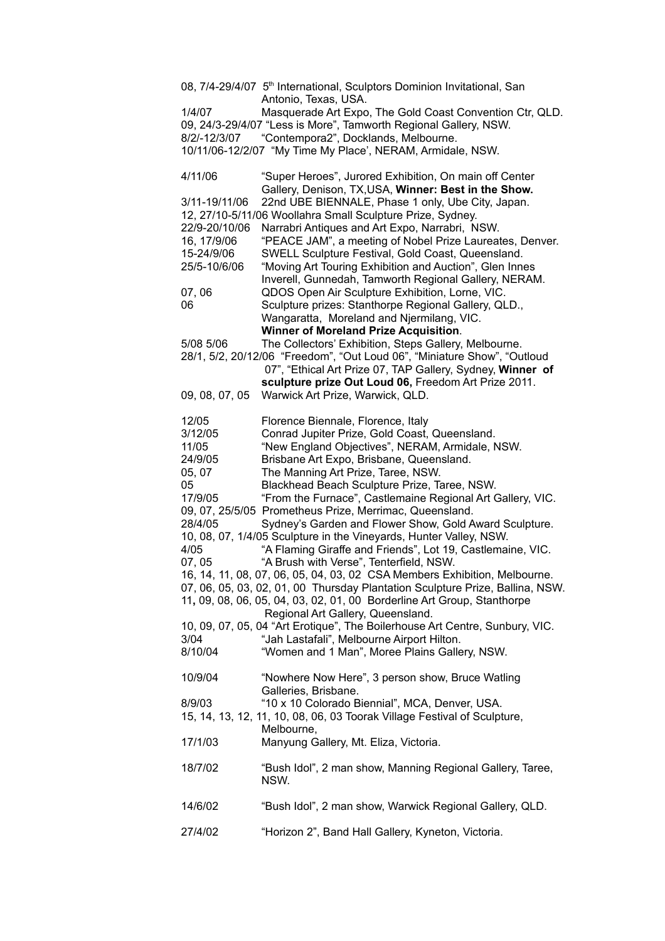08, 7/4-29/4/07 5<sup>th</sup> International, Sculptors Dominion Invitational, San Antonio, Texas, USA. 1/4/07 Masquerade Art Expo, The Gold Coast Convention Ctr, QLD. 09, 24/3-29/4/07 "Less is More", Tamworth Regional Gallery, NSW. 8/2/-12/3/07 "Contempora2", Docklands, Melbourne. 10/11/06-12/2/07 "My Time My Place', NERAM, Armidale, NSW. 4/11/06 "Super Heroes", Jurored Exhibition, On main off Center Gallery, Denison, TX,USA, **Winner: Best in the Show.** 3/11-19/11/06 22nd UBE BIENNALE, Phase 1 only, Ube City, Japan. 12, 27/10-5/11/06 Woollahra Small Sculpture Prize, Sydney. 22/9-20/10/06 Narrabri Antiques and Art Expo, Narrabri, NSW. 16, 17/9/06 "PEACE JAM", a meeting of Nobel Prize Laureates, Denver. 15-24/9/06 SWELL Sculpture Festival, Gold Coast, Queensland. 25/5-10/6/06 "Moving Art Touring Exhibition and Auction", Glen Innes Inverell, Gunnedah, Tamworth Regional Gallery, NERAM. 07, 06 QDOS Open Air Sculpture Exhibition, Lorne, VIC. 06 Sculpture prizes: Stanthorpe Regional Gallery, QLD., Wangaratta, Moreland and Njermilang, VIC. **Winner of Moreland Prize Acquisition**. 5/08 5/06 The Collectors' Exhibition, Steps Gallery, Melbourne. 28/1, 5/2, 20/12/06 "Freedom", "Out Loud 06", "Miniature Show", "Outloud 07", "Ethical Art Prize 07, TAP Gallery, Sydney, **Winner of sculpture prize Out Loud 06,** Freedom Art Prize 2011. 09, 08, 07, 05 Warwick Art Prize, Warwick, QLD. 12/05 Florence Biennale, Florence, Italy 3/12/05 Conrad Jupiter Prize, Gold Coast, Queensland. 11/05 "New England Objectives", NERAM, Armidale, NSW.<br>24/9/05 Brisbane Art Expo, Brisbane, Queensland. Brisbane Art Expo, Brisbane, Queensland. 05, 07 The Manning Art Prize, Taree, NSW. 05 Blackhead Beach Sculpture Prize, Taree, NSW. 17/9/05 "From the Furnace", Castlemaine Regional Art Gallery, VIC. 09, 07, 25/5/05 Prometheus Prize, Merrimac, Queensland. 28/4/05 Sydney's Garden and Flower Show, Gold Award Sculpture. 10, 08, 07, 1/4/05 Sculpture in the Vineyards, Hunter Valley, NSW. 4/05 "A Flaming Giraffe and Friends", Lot 19, Castlemaine, VIC. 07, 05 "A Brush with Verse", Tenterfield, NSW. 16, 14, 11, 08, 07, 06, 05, 04, 03, 02 CSA Members Exhibition, Melbourne. 07, 06, 05, 03, 02, 01, 00 Thursday Plantation Sculpture Prize, Ballina, NSW. 11**,** 09, 08, 06, 05, 04, 03, 02, 01, 00 Borderline Art Group, Stanthorpe Regional Art Gallery, Queensland. 10, 09, 07, 05, 04 "Art Erotique", The Boilerhouse Art Centre, Sunbury, VIC. 3/04 "Jah Lastafali", Melbourne Airport Hilton. 8/10/04 "Women and 1 Man", Moree Plains Gallery, NSW. 10/9/04 "Nowhere Now Here", 3 person show, Bruce Watling Galleries, Brisbane. 8/9/03 "10 x 10 Colorado Biennial", MCA, Denver, USA. 15, 14, 13, 12, 11, 10, 08, 06, 03 Toorak Village Festival of Sculpture, Melbourne, 17/1/03 Manyung Gallery, Mt. Eliza, Victoria. 18/7/02 "Bush Idol", 2 man show, Manning Regional Gallery, Taree, NSW. 14/6/02 "Bush Idol", 2 man show, Warwick Regional Gallery, QLD. 27/4/02 "Horizon 2", Band Hall Gallery, Kyneton, Victoria.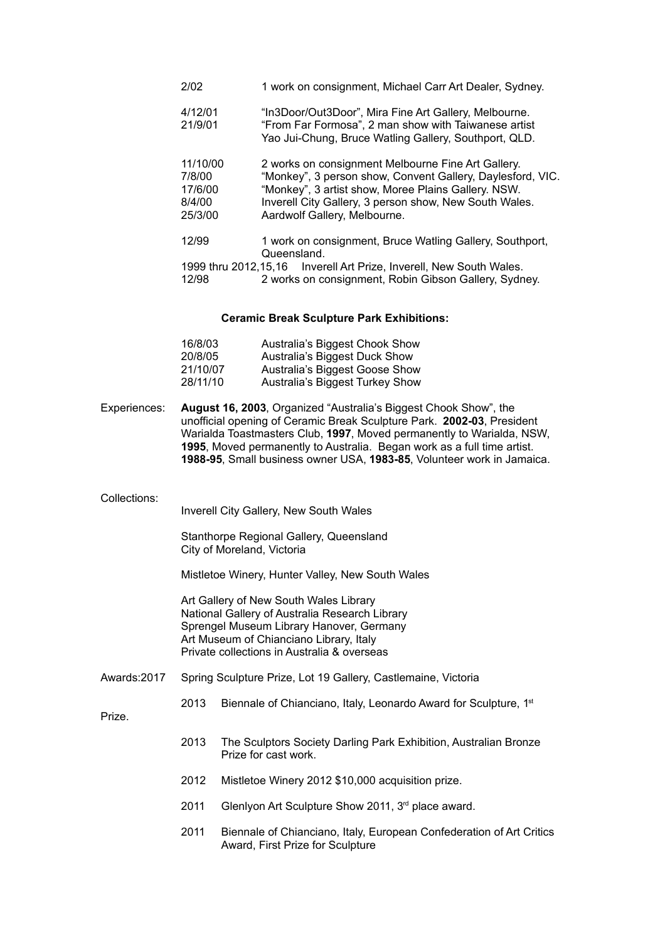| 1 work on consignment, Michael Carr Art Dealer, Sydney. |
|---------------------------------------------------------|
|                                                         |

| 4/12/01 | "In3Door/Out3Door", Mira Fine Art Gallery, Melbourne. |
|---------|-------------------------------------------------------|
| 21/9/01 | "From Far Formosa", 2 man show with Taiwanese artist  |
|         | Yao Jui-Chung, Bruce Watling Gallery, Southport, QLD. |

| 11/10/00 | 2 works on consignment Melbourne Fine Art Gallery.         |
|----------|------------------------------------------------------------|
| 7/8/00   | "Monkey", 3 person show, Convent Gallery, Daylesford, VIC. |
| 17/6/00  | "Monkey", 3 artist show, Moree Plains Gallery. NSW.        |
| 8/4/00   | Inverell City Gallery, 3 person show, New South Wales.     |
| 25/3/00  | Aardwolf Gallery, Melbourne.                               |

12/99 1 work on consignment, Bruce Watling Gallery, Southport, Queensland.

|            | 1999 thru 2012, 15, 16 Inverell Art Prize, Inverell, New South Wales. |
|------------|-----------------------------------------------------------------------|
| $\sqrt{2}$ |                                                                       |

12/98 2 works on consignment, Robin Gibson Gallery, Sydney.

### **Ceramic Break Sculpture Park Exhibitions:**

| 16/8/03  | Australia's Biggest Chook Show  |
|----------|---------------------------------|
| 20/8/05  | Australia's Biggest Duck Show   |
| 21/10/07 | Australia's Biggest Goose Show  |
| 28/11/10 | Australia's Biggest Turkey Show |

Experiences: **August 16, 2003**, Organized "Australia's Biggest Chook Show", the unofficial opening of Ceramic Break Sculpture Park. **2002-03**, President Warialda Toastmasters Club, **1997**, Moved permanently to Warialda, NSW, **1995**, Moved permanently to Australia. Began work as a full time artist. **1988-95**, Small business owner USA, **1983-85**, Volunteer work in Jamaica.

Collections: Inverell City Gallery, New South Wales

> Stanthorpe Regional Gallery, Queensland City of Moreland, Victoria

Mistletoe Winery, Hunter Valley, New South Wales

Art Gallery of New South Wales Library National Gallery of Australia Research Library Sprengel Museum Library Hanover, Germany Art Museum of Chianciano Library, Italy Private collections in Australia & overseas

- Awards:2017 Spring Sculpture Prize, Lot 19 Gallery, Castlemaine, Victoria
	- 2013 Biennale of Chianciano, Italy, Leonardo Award for Sculpture, 1<sup>st</sup>

Prize.

- 2013 The Sculptors Society Darling Park Exhibition, Australian Bronze Prize for cast work.
- 2012 Mistletoe Winery 2012 \$10,000 acquisition prize.
- 2011 Glenlyon Art Sculpture Show 2011, 3<sup>rd</sup> place award.
- 2011 Biennale of Chianciano, Italy, European Confederation of Art Critics Award, First Prize for Sculpture